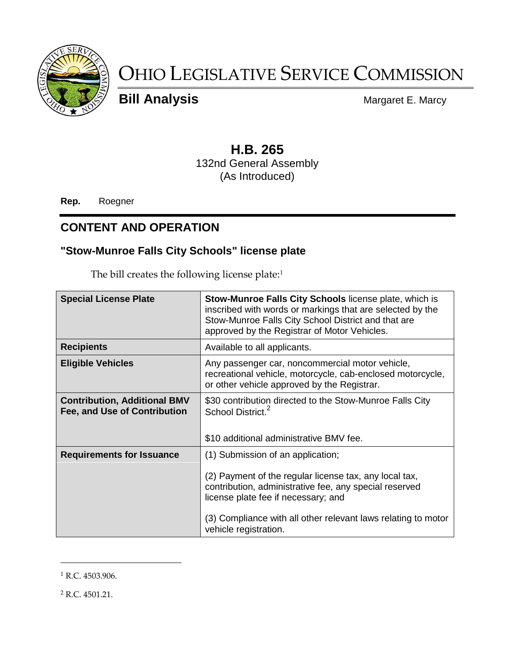

# OHIO LEGISLATIVE SERVICE COMMISSION

**Bill Analysis** Margaret E. Marcy

# **H.B. 265**

132nd General Assembly (As Introduced)

**Rep.** Roegner

### **CONTENT AND OPERATION**

#### **"Stow-Munroe Falls City Schools" license plate**

The bill creates the following license plate:<sup>1</sup>

| <b>Special License Plate</b>                                        | <b>Stow-Munroe Falls City Schools license plate, which is</b><br>inscribed with words or markings that are selected by the<br>Stow-Munroe Falls City School District and that are<br>approved by the Registrar of Motor Vehicles.                                                      |
|---------------------------------------------------------------------|----------------------------------------------------------------------------------------------------------------------------------------------------------------------------------------------------------------------------------------------------------------------------------------|
| <b>Recipients</b>                                                   | Available to all applicants.                                                                                                                                                                                                                                                           |
| <b>Eligible Vehicles</b>                                            | Any passenger car, noncommercial motor vehicle,<br>recreational vehicle, motorcycle, cab-enclosed motorcycle,<br>or other vehicle approved by the Registrar.                                                                                                                           |
| <b>Contribution, Additional BMV</b><br>Fee, and Use of Contribution | \$30 contribution directed to the Stow-Munroe Falls City<br>School District. <sup>2</sup><br>\$10 additional administrative BMV fee.                                                                                                                                                   |
| <b>Requirements for Issuance</b>                                    | (1) Submission of an application;<br>(2) Payment of the regular license tax, any local tax,<br>contribution, administrative fee, any special reserved<br>license plate fee if necessary; and<br>(3) Compliance with all other relevant laws relating to motor<br>vehicle registration. |

<sup>1</sup> R.C. 4503.906.

 $\overline{a}$ 

 $2$  R.C. 4501.21.